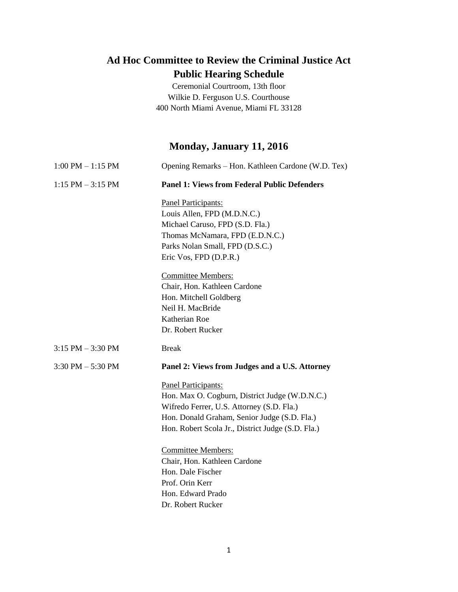## **Ad Hoc Committee to Review the Criminal Justice Act Public Hearing Schedule**

Ceremonial Courtroom, 13th floor Wilkie D. Ferguson U.S. Courthouse 400 North Miami Avenue, Miami FL 33128

# **Monday, January 11, 2016**

| $1:00$ PM $-1:15$ PM | Opening Remarks – Hon. Kathleen Cardone (W.D. Tex)  |
|----------------------|-----------------------------------------------------|
| $1:15$ PM $-3:15$ PM | <b>Panel 1: Views from Federal Public Defenders</b> |
|                      | Panel Participants:                                 |
|                      | Louis Allen, FPD (M.D.N.C.)                         |
|                      | Michael Caruso, FPD (S.D. Fla.)                     |
|                      | Thomas McNamara, FPD (E.D.N.C.)                     |
|                      | Parks Nolan Small, FPD (D.S.C.)                     |
|                      | Eric Vos, FPD (D.P.R.)                              |
|                      | <b>Committee Members:</b>                           |
|                      | Chair, Hon. Kathleen Cardone                        |
|                      | Hon. Mitchell Goldberg                              |
|                      | Neil H. MacBride                                    |
|                      | Katherian Roe                                       |
|                      | Dr. Robert Rucker                                   |
| $3:15$ PM $-3:30$ PM | <b>Break</b>                                        |
| $3:30$ PM $-5:30$ PM | Panel 2: Views from Judges and a U.S. Attorney      |
|                      | Panel Participants:                                 |
|                      | Hon. Max O. Cogburn, District Judge (W.D.N.C.)      |
|                      | Wifredo Ferrer, U.S. Attorney (S.D. Fla.)           |
|                      | Hon. Donald Graham, Senior Judge (S.D. Fla.)        |
|                      | Hon. Robert Scola Jr., District Judge (S.D. Fla.)   |
|                      | <b>Committee Members:</b>                           |
|                      | Chair, Hon. Kathleen Cardone                        |
|                      | Hon. Dale Fischer                                   |
|                      | Prof. Orin Kerr                                     |
|                      | Hon. Edward Prado                                   |
|                      | Dr. Robert Rucker                                   |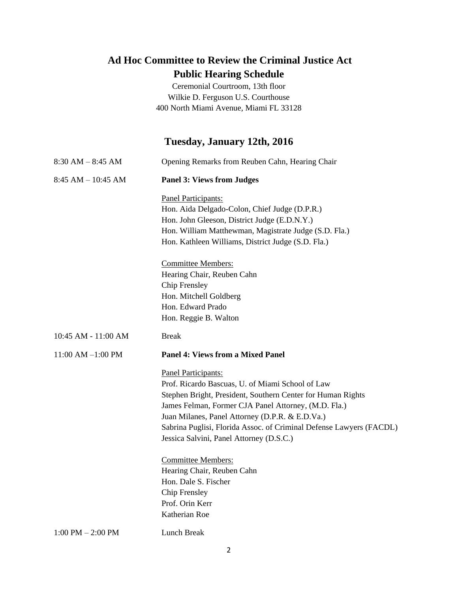## **Ad Hoc Committee to Review the Criminal Justice Act Public Hearing Schedule**

Ceremonial Courtroom, 13th floor Wilkie D. Ferguson U.S. Courthouse 400 North Miami Avenue, Miami FL 33128

#### **Tuesday, January 12th, 2016**

| $8:30 AM - 8:45 AM$   | Opening Remarks from Reuben Cahn, Hearing Chair                     |
|-----------------------|---------------------------------------------------------------------|
| $8:45 AM - 10:45 AM$  | <b>Panel 3: Views from Judges</b>                                   |
|                       | Panel Participants:                                                 |
|                       | Hon. Aida Delgado-Colon, Chief Judge (D.P.R.)                       |
|                       | Hon. John Gleeson, District Judge (E.D.N.Y.)                        |
|                       | Hon. William Matthewman, Magistrate Judge (S.D. Fla.)               |
|                       | Hon. Kathleen Williams, District Judge (S.D. Fla.)                  |
|                       | <b>Committee Members:</b>                                           |
|                       | Hearing Chair, Reuben Cahn                                          |
|                       | Chip Frensley                                                       |
|                       | Hon. Mitchell Goldberg                                              |
|                       | Hon. Edward Prado                                                   |
|                       | Hon. Reggie B. Walton                                               |
| 10:45 AM - 11:00 AM   | <b>Break</b>                                                        |
| $11:00$ AM $-1:00$ PM | <b>Panel 4: Views from a Mixed Panel</b>                            |
|                       | Panel Participants:                                                 |
|                       | Prof. Ricardo Bascuas, U. of Miami School of Law                    |
|                       | Stephen Bright, President, Southern Center for Human Rights         |
|                       | James Felman, Former CJA Panel Attorney, (M.D. Fla.)                |
|                       | Juan Milanes, Panel Attorney (D.P.R. & E.D.Va.)                     |
|                       | Sabrina Puglisi, Florida Assoc. of Criminal Defense Lawyers (FACDL) |
|                       | Jessica Salvini, Panel Attorney (D.S.C.)                            |
|                       | <b>Committee Members:</b>                                           |
|                       | Hearing Chair, Reuben Cahn                                          |
|                       | Hon. Dale S. Fischer                                                |
|                       | Chip Frensley                                                       |
|                       | Prof. Orin Kerr                                                     |
|                       | Katherian Roe                                                       |
| $1:00$ PM $- 2:00$ PM | Lunch Break                                                         |